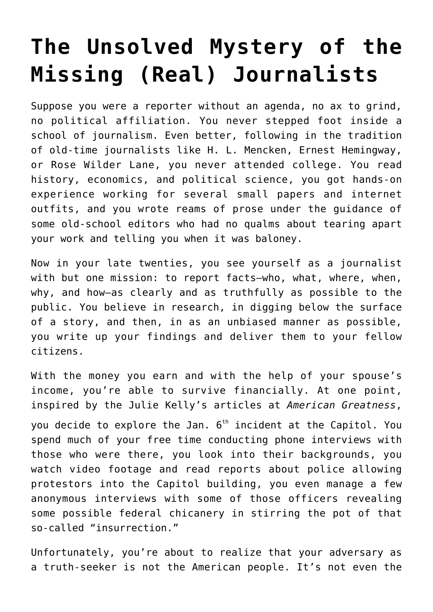## **[The Unsolved Mystery of the](https://intellectualtakeout.org/2022/06/the-unsolved-mystery-of-the-missing-real-journalists/) [Missing \(Real\) Journalists](https://intellectualtakeout.org/2022/06/the-unsolved-mystery-of-the-missing-real-journalists/)**

Suppose you were a reporter without an agenda, no ax to grind, no political affiliation. You never stepped foot inside a school of journalism. Even better, following in the tradition of old-time journalists like H. L. Mencken, Ernest Hemingway, or Rose Wilder Lane, you never attended college. You read history, economics, and political science, you got hands-on experience working for several small papers and internet outfits, and you wrote reams of prose under the guidance of some old-school editors who had no qualms about tearing apart your work and telling you when it was baloney.

Now in your late twenties, you see yourself as a journalist with but one mission: to report facts—who, what, where, when, why, and how—as clearly and as truthfully as possible to the public. You believe in research, in digging below the surface of a story, and then, in as an unbiased manner as possible, you write up your findings and deliver them to your fellow citizens.

With the money you earn and with the help of your spouse's income, you're able to survive financially. At one point, inspired by the Julie Kelly's articles at *American Greatness*,

you decide to explore the Jan.  $6<sup>th</sup>$  incident at the Capitol. You spend much of your free time conducting phone interviews with those who were there, you look into their backgrounds, you watch video footage and read reports about police allowing protestors into the Capitol building, you even manage a few anonymous interviews with some of those officers revealing some possible federal chicanery in stirring the pot of that so-called "insurrection."

Unfortunately, you're about to realize that your adversary as a truth-seeker is not the American people. It's not even the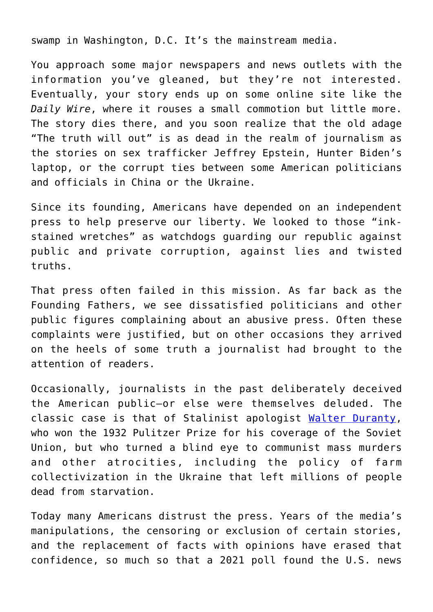swamp in Washington, D.C. It's the mainstream media.

You approach some major newspapers and news outlets with the information you've gleaned, but they're not interested. Eventually, your story ends up on some online site like the *Daily Wire*, where it rouses a small commotion but little more. The story dies there, and you soon realize that the old adage "The truth will out" is as dead in the realm of journalism as the stories on sex trafficker Jeffrey Epstein, Hunter Biden's laptop, or the corrupt ties between some American politicians and officials in China or the Ukraine.

Since its founding, Americans have depended on an independent press to help preserve our liberty. We looked to those "inkstained wretches" as watchdogs guarding our republic against public and private corruption, against lies and twisted truths.

That press often failed in this mission. As far back as the Founding Fathers, we see dissatisfied politicians and other public figures complaining about an abusive press. Often these complaints were justified, but on other occasions they arrived on the heels of some truth a journalist had brought to the attention of readers.

Occasionally, journalists in the past deliberately deceived the American public—or else were themselves deluded. The classic case is that of Stalinist apologist [Walter Duranty,](https://www.npr.org/2022/05/08/1097097620/new-york-times-pulitzer-ukraine-walter-duranty) who won the 1932 Pulitzer Prize for his coverage of the Soviet Union, but who turned a blind eye to communist mass murders and other atrocities, including the policy of farm collectivization in the Ukraine that left millions of people dead from starvation.

Today many Americans distrust the press. Years of the media's manipulations, the censoring or exclusion of certain stories, and the replacement of facts with opinions have erased that confidence, so much so that a 2021 poll found the U.S. news